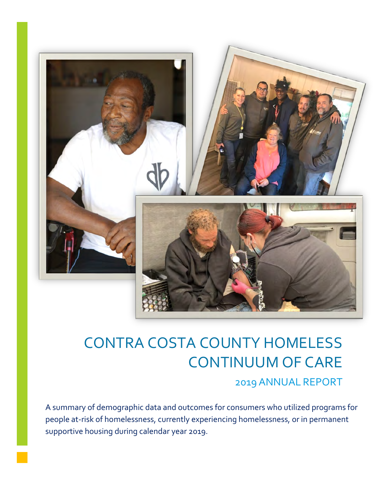

# CONTRA COSTA COUNTY HOMELESS CONTINUUM OF CARE

## 2019 ANNUAL REPORT

people at-risk of homelessness, currently experiencing homelessness, or in permanent A summary of demographic data and outcomes for consumers who utilized programs for supportive housing during calendar year 2019.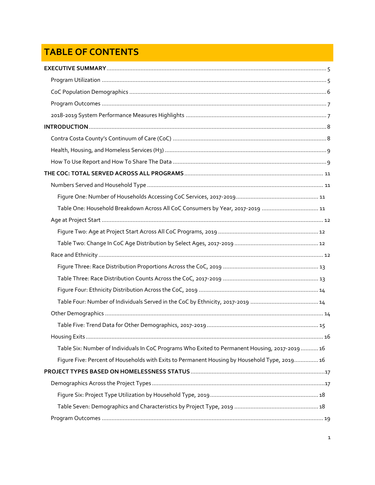## **TABLE OF CONTENTS**

| Table One: Household Breakdown Across All CoC Consumers by Year, 2017-2019  11                  |  |
|-------------------------------------------------------------------------------------------------|--|
|                                                                                                 |  |
|                                                                                                 |  |
|                                                                                                 |  |
|                                                                                                 |  |
|                                                                                                 |  |
|                                                                                                 |  |
|                                                                                                 |  |
|                                                                                                 |  |
|                                                                                                 |  |
|                                                                                                 |  |
|                                                                                                 |  |
| Table Six: Number of Individuals In CoC Programs Who Exited to Permanent Housing, 2017-2019  16 |  |
| Figure Five: Percent of Households with Exits to Permanent Housing by Household Type, 2019 16   |  |
|                                                                                                 |  |
|                                                                                                 |  |
|                                                                                                 |  |
|                                                                                                 |  |
|                                                                                                 |  |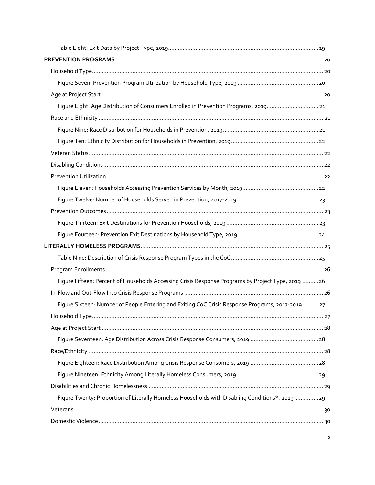| Figure Eight: Age Distribution of Consumers Enrolled in Prevention Programs, 2019 21               |  |
|----------------------------------------------------------------------------------------------------|--|
|                                                                                                    |  |
|                                                                                                    |  |
|                                                                                                    |  |
|                                                                                                    |  |
|                                                                                                    |  |
|                                                                                                    |  |
|                                                                                                    |  |
|                                                                                                    |  |
|                                                                                                    |  |
|                                                                                                    |  |
|                                                                                                    |  |
|                                                                                                    |  |
|                                                                                                    |  |
|                                                                                                    |  |
| Figure Fifteen: Percent of Households Accessing Crisis Response Programs by Project Type, 2019  26 |  |
|                                                                                                    |  |
| Figure Sixteen: Number of People Entering and Exiting CoC Crisis Response Programs, 2017-2019 27   |  |
|                                                                                                    |  |
|                                                                                                    |  |
|                                                                                                    |  |
|                                                                                                    |  |
|                                                                                                    |  |
|                                                                                                    |  |
|                                                                                                    |  |
| Figure Twenty: Proportion of Literally Homeless Households with Disabling Conditions*, 201929      |  |
|                                                                                                    |  |
|                                                                                                    |  |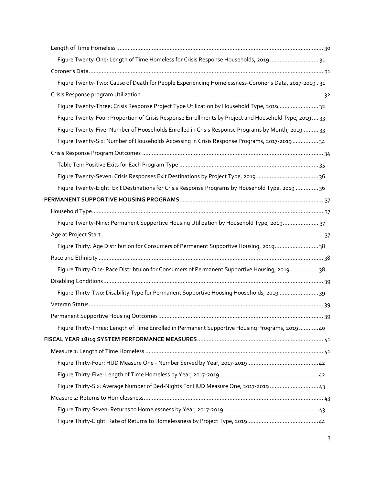| Figure Twenty-One: Length of Time Homeless for Crisis Response Households, 2019  31                  |  |
|------------------------------------------------------------------------------------------------------|--|
|                                                                                                      |  |
| Figure Twenty-Two: Cause of Death for People Experiencing Homelessness-Coroner's Data, 2017-2019. 31 |  |
|                                                                                                      |  |
| Figure Twenty-Three: Crisis Response Project Type Utilization by Household Type, 2019  32            |  |
| Figure Twenty-Four: Proportion of Crisis Response Enrollments by Project and Household Type, 2019 33 |  |
| Figure Twenty-Five: Number of Households Enrolled in Crisis Response Programs by Month, 2019  33     |  |
| Figure Twenty-Six: Number of Households Accessing in Crisis Response Programs, 2017-2019  34         |  |
|                                                                                                      |  |
|                                                                                                      |  |
| Figure Twenty-Seven: Crisis Responses Exit Destinations by Project Type, 2019 36                     |  |
| Figure Twenty-Eight: Exit Destinations for Crisis Response Programs by Household Type, 2019  36      |  |
|                                                                                                      |  |
|                                                                                                      |  |
| Figure Twenty-Nine: Permanent Supportive Housing Utilization by Household Type, 2019 37              |  |
|                                                                                                      |  |
| Figure Thirty: Age Distribution for Consumers of Permanent Supportive Housing, 201938                |  |
|                                                                                                      |  |
| Figure Thirty-One: Race Distribtuion for Consumers of Permanent Supportive Housing, 2019 38          |  |
|                                                                                                      |  |
| Figure Thirty-Two: Disability Type for Permanent Supportive Housing Households, 2019 39              |  |
|                                                                                                      |  |
|                                                                                                      |  |
| Figure Thirty-Three: Length of Time Enrolled in Permanent Supportive Housing Programs, 2019  40      |  |
|                                                                                                      |  |
|                                                                                                      |  |
|                                                                                                      |  |
|                                                                                                      |  |
| Figure Thirty-Six: Average Number of Bed-Nights For HUD Measure One, 2017-2019  43                   |  |
|                                                                                                      |  |
|                                                                                                      |  |
|                                                                                                      |  |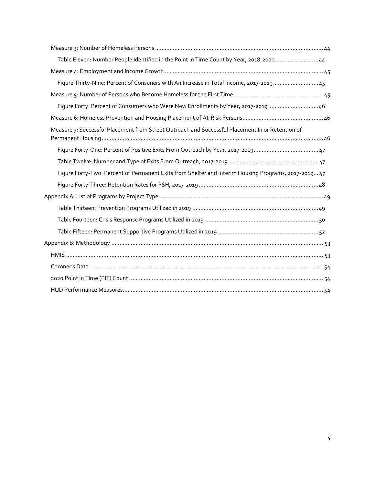| Table Eleven: Number People Identified in the Point in Time Count by Year, 2018-202044               |  |
|------------------------------------------------------------------------------------------------------|--|
|                                                                                                      |  |
| Figure Thirty-Nine: Percent of Consuners with An Increase in Total Income, 2017-2019 45              |  |
|                                                                                                      |  |
| Figure Forty: Percent of Consumers who Were New Enrollments by Year, 2017-2019 46                    |  |
|                                                                                                      |  |
| Measure 7: Successful Placement from Street Outreach and Successful Placement In or Retention of     |  |
|                                                                                                      |  |
|                                                                                                      |  |
| Figure Forty-Two: Percent of Permanent Exits from Shelter and Interim Housing Programs, 2017-2019 47 |  |
|                                                                                                      |  |
|                                                                                                      |  |
|                                                                                                      |  |
|                                                                                                      |  |
|                                                                                                      |  |
|                                                                                                      |  |
|                                                                                                      |  |
|                                                                                                      |  |
|                                                                                                      |  |
|                                                                                                      |  |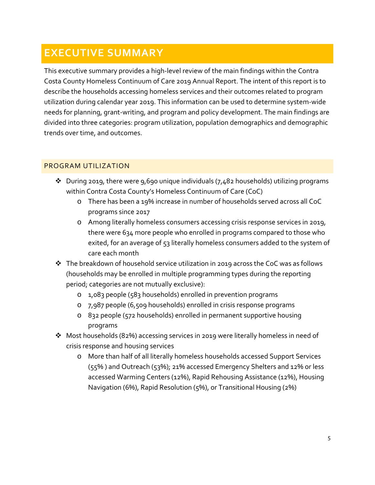## <span id="page-5-0"></span>**EXECUTIVE SUMMARY**

This executive summary provides a high-level review of the main findings within the Contra Costa County Homeless Continuum of Care 2019 Annual Report. The intent of this report is to describe the households accessing homeless services and their outcomes related to program utilization during calendar year 2019. This information can be used to determine system-wide needs for planning, grant-writing, and program and policy development. The main findings are divided into three categories: program utilization, population demographics and demographic trends over time, and outcomes.

## <span id="page-5-1"></span>PROGRAM UTILIZATION

- $\cdot$  During 2019, there were 9,690 unique individuals (7,482 households) utilizing programs within Contra Costa County's Homeless Continuum of Care (CoC)
	- o There has been a 19% increase in number of households served across all CoC programs since 2017
	- o Among literally homeless consumers accessing crisis response services in 2019, there were 634 more people who enrolled in programs compared to those who exited, for an average of 53 literally homeless consumers added to the system of care each month
- $\cdot \cdot$  The breakdown of household service utilization in 2019 across the CoC was as follows (households may be enrolled in multiple programming types during the reporting period; categories are not mutually exclusive):
	- o 1,083 people (583 households) enrolled in prevention programs
	- o 7,987 people (6,509 households) enrolled in crisis response programs
	- o 832 people (572 households) enrolled in permanent supportive housing programs
- Most households (82%) accessing services in 2019 were literally homeless in need of crisis response and housing services
	- o More than half of all literally homeless households accessed Support Services (55% ) and Outreach (53%); 21% accessed Emergency Shelters and 12% or less accessed Warming Centers (12%), Rapid Rehousing Assistance (12%), Housing Navigation (6%), Rapid Resolution (5%), or Transitional Housing (2%)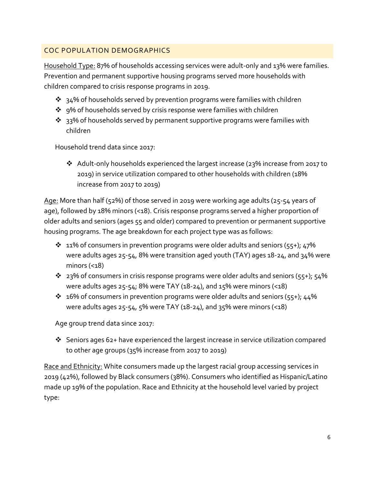## <span id="page-6-0"></span>COC POPULATION DEMOGRAPHICS

Household Type: 87% of households accessing services were adult-only and 13% were families. Prevention and permanent supportive housing programs served more households with children compared to crisis response programs in 2019.

- $\cdot$  34% of households served by prevention programs were families with children
- ❖ 9% of households served by crisis response were families with children
- $\cdot$  33% of households served by permanent supportive programs were families with children

Household trend data since 2017:

\* Adult-only households experienced the largest increase (23% increase from 2017 to 2019) in service utilization compared to other households with children (18% increase from 2017 to 2019)

Age: More than half (52%) of those served in 2019 were working age adults (25-54 years of age), followed by 18% minors (<18). Crisis response programs served a higher proportion of older adults and seniors (ages 55 and older) compared to prevention or permanent supportive housing programs. The age breakdown for each project type was as follows:

- $\cdot$  11% of consumers in prevention programs were older adults and seniors (55+); 47% were adults ages 25-54, 8% were transition aged youth (TAY) ages 18-24, and 34% were minors  $($
- $\cdot$  23% of consumers in crisis response programs were older adults and seniors (55+); 54% were adults ages  $25-54$ ; 8% were TAY (18-24), and 15% were minors (<18)
- $\cdot$  16% of consumers in prevention programs were older adults and seniors (55+); 44% were adults ages  $25-54$ ,  $5\%$  were TAY (18-24), and  $35\%$  were minors (<18)

Age group trend data since 2017:

 Seniors ages 62+ have experienced the largest increase in service utilization compared to other age groups (35% increase from 2017 to 2019)

Race and Ethnicity: White consumers made up the largest racial group accessing services in 2019 (42%), followed by Black consumers (38%). Consumers who identified as Hispanic/Latino made up 19% of the population. Race and Ethnicity at the household level varied by project type: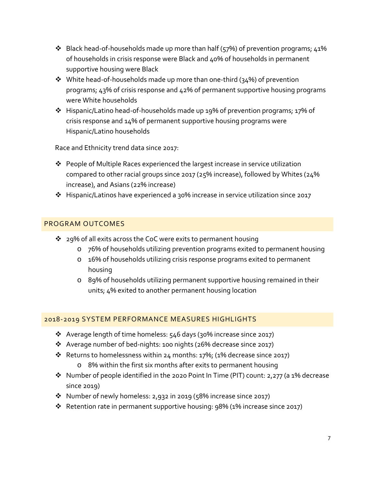- $\cdot$  Black head-of-households made up more than half (57%) of prevention programs; 41% of households in crisis response were Black and 40% of households in permanent supportive housing were Black
- $\cdot$  White head-of-households made up more than one-third (34%) of prevention programs; 43% of crisis response and 42% of permanent supportive housing programs were White households
- Hispanic/Latino head-of-households made up 19% of prevention programs; 17% of crisis response and 14% of permanent supportive housing programs were Hispanic/Latino households

Race and Ethnicity trend data since 2017:

- People of Multiple Races experienced the largest increase in service utilization compared to other racial groups since 2017 (25% increase), followed by Whites (24% increase), and Asians (22% increase)
- Hispanic/Latinos have experienced a 30% increase in service utilization since 2017

## <span id="page-7-0"></span>PROGRAM OUTCOMES

- ❖ 29% of all exits across the CoC were exits to permanent housing
	- o 76% of households utilizing prevention programs exited to permanent housing
	- o 16% of households utilizing crisis response programs exited to permanent housing
	- o 89% of households utilizing permanent supportive housing remained in their units; 4% exited to another permanent housing location

## <span id="page-7-1"></span>2018-2019 SYSTEM PERFORMANCE MEASURES HIGHLIGHTS

- $\cdot$  Average length of time homeless: 546 days (30% increase since 2017)
- Average number of bed-nights: 100 nights (26% decrease since 2017)
- Returns to homelessness within 24 months: 17%; (1% decrease since 2017)
	- o 8% within the first six months after exits to permanent housing
- $\cdot$  Number of people identified in the 2020 Point In Time (PIT) count: 2,277 (a 1% decrease since 2019)
- Number of newly homeless: 2,932 in 2019 (58% increase since 2017)
- Retention rate in permanent supportive housing: 98% (1% increase since 2017)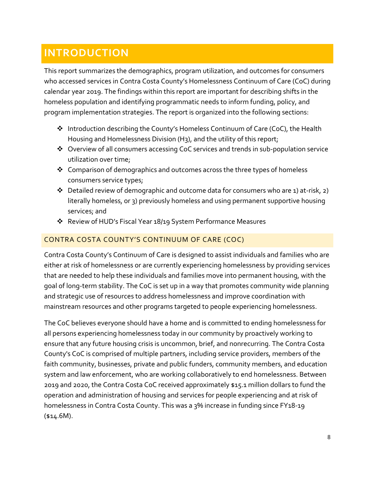## <span id="page-8-0"></span>**INTRODUCTION**

This report summarizes the demographics, program utilization, and outcomes for consumers who accessed services in Contra Costa County's Homelessness Continuum of Care (CoC) during calendar year 2019. The findings within this report are important for describing shifts in the homeless population and identifying programmatic needs to inform funding, policy, and program implementation strategies. The report is organized into the following sections:

- Introduction describing the County's Homeless Continuum of Care (CoC), the Health Housing and Homelessness Division (H3), and the utility of this report;
- Overview of all consumers accessing CoC services and trends in sub-population service utilization over time;
- $\triangleleft$  Comparison of demographics and outcomes across the three types of homeless consumers service types;
- $\cdot$  Detailed review of demographic and outcome data for consumers who are 1) at-risk, 2) literally homeless, or 3) previously homeless and using permanent supportive housing services; and
- Review of HUD's Fiscal Year 18/19 System Performance Measures

## <span id="page-8-1"></span>CONTRA COSTA COUNTY'S CONTINUUM OF CARE (COC)

Contra Costa County's Continuum of Care is designed to assist individuals and families who are either at risk of homelessness or are currently experiencing homelessness by providing services that are needed to help these individuals and families move into permanent housing, with the goal of long-term stability. The CoC is set up in a way that promotes community wide planning and strategic use of resources to address homelessness and improve coordination with mainstream resources and other programs targeted to people experiencing homelessness.

The CoC believes everyone should have a home and is committed to ending homelessness for all persons experiencing homelessness today in our community by proactively working to ensure that any future housing crisis is uncommon, brief, and nonrecurring. The Contra Costa County's CoC is comprised of multiple partners, including service providers, members of the faith community, businesses, private and public funders, community members, and education system and law enforcement, who are working collaboratively to end homelessness. Between 2019 and 2020, the Contra Costa CoC received approximately \$15.1 million dollars to fund the operation and administration of housing and services for people experiencing and at risk of homelessness in Contra Costa County. This was a 3% increase in funding since FY18-19  $(*14.6M).$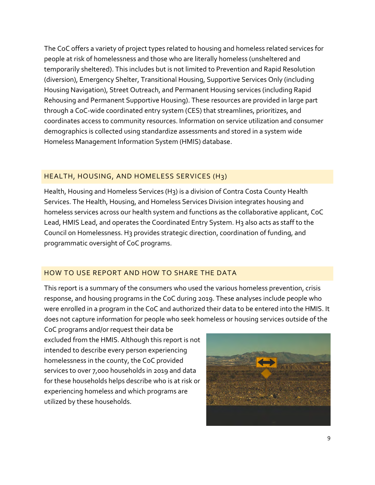The CoC offers a variety of project types related to housing and homeless related services for people at risk of homelessness and those who are literally homeless (unsheltered and temporarily sheltered). This includes but is not limited to Prevention and Rapid Resolution (diversion), Emergency Shelter, Transitional Housing, Supportive Services Only (including Housing Navigation), Street Outreach, and Permanent Housing services (including Rapid Rehousing and Permanent Supportive Housing). These resources are provided in large part through a CoC-wide coordinated entry system (CES) that streamlines, prioritizes, and coordinates access to community resources. Information on service utilization and consumer demographics is collected using standardize assessments and stored in a system wide Homeless Management Information System (HMIS) database.

## <span id="page-9-0"></span>HEALTH, HOUSING, AND HOMELESS SERVICES (H3)

Health, Housing and Homeless Services (H3) is a division of Contra Costa County Health Services. The Health, Housing, and Homeless Services Division integrates housing and homeless services across our health system and functions as the collaborative applicant, CoC Lead, HMIS Lead, and operates the Coordinated Entry System. H3 also acts as staff to the Council on Homelessness. H3 provides strategic direction, coordination of funding, and programmatic oversight of CoC programs.

## <span id="page-9-1"></span>HOW TO USE REPORT AND HOW TO SHARE THE DATA

This report is a summary of the consumers who used the various homeless prevention, crisis response, and housing programs in the CoC during 2019. These analyses include people who were enrolled in a program in the CoC and authorized their data to be entered into the HMIS. It does not capture information for people who seek homeless or housing services outside of the

CoC programs and/or request their data be excluded from the HMIS. Although this report is not intended to describe every person experiencing homelessness in the county, the CoC provided services to over 7,000 households in 2019 and data for these households helps describe who is at risk or experiencing homeless and which programs are utilized by these households.

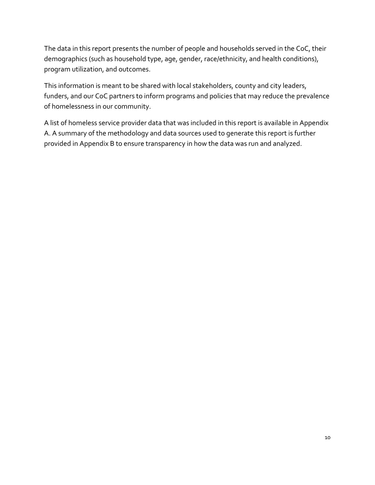The data in this report presents the number of people and households served in the CoC, their demographics (such as household type, age, gender, race/ethnicity, and health conditions), program utilization, and outcomes.

This information is meant to be shared with local stakeholders, county and city leaders, funders, and our CoC partners to inform programs and policies that may reduce the prevalence of homelessness in our community.

A list of homeless service provider data that was included in this report is available in Appendix A. A summary of the methodology and data sources used to generate this report is further provided in Appendix B to ensure transparency in how the data was run and analyzed.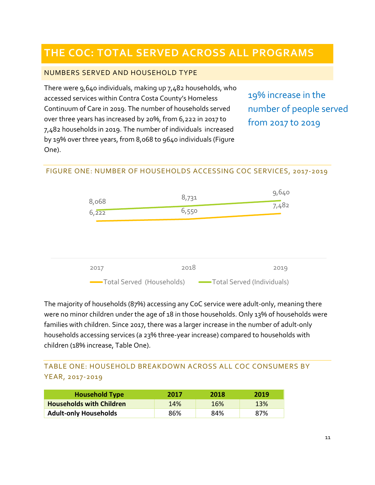## <span id="page-11-0"></span>**THE COC: TOTAL SERVED ACROSS ALL PROGRAMS**

## <span id="page-11-1"></span>NUMBERS SERVED AND HOUSEHOLD TYPE

There were 9,640 individuals, making up 7,482 households, who accessed services within Contra Costa County's Homeless Continuum of Care in 2019. The number of households served over three years has increased by 20%, from 6,222 in 2017 to 7,482 households in 2019. The number of individuals increased by 19% over three years, from 8,068 to 9640 individuals (Figure One).

19% increase in the number of people served from 2017 to 2019

## <span id="page-11-2"></span>FIGURE ONE: NUMBER OF HOUSEHOLDS ACCESSING COC SERVICES, 2017-2019



The majority of households (87%) accessing any CoC service were adult-only, meaning there were no minor children under the age of 18 in those households. Only 13% of households were families with children. Since 2017, there was a larger increase in the number of adult-only households accessing services (a 23% three-year increase) compared to households with children (18% increase, Table One).

## <span id="page-11-3"></span>TABLE ONE: HOUSEHOLD BREAKDOWN ACROSS ALL COC CONSUMERS BY YEAR, 2017-2019

| <b>Household Type</b>           | 2017       | 2018 | 2019       |
|---------------------------------|------------|------|------------|
| <b>Households with Children</b> | <b>14%</b> | 16%  | <b>13%</b> |
| <b>Adult-only Households</b>    | 86%        | 84%  | 87%        |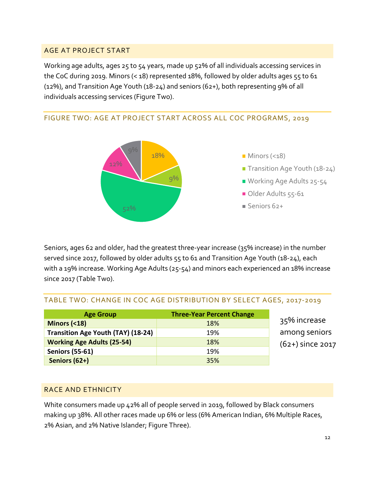## <span id="page-12-0"></span>AGE AT PROJECT START

Working age adults, ages 25 to 54 years, made up 52% of all individuals accessing services in the CoC during 2019. Minors (< 18) represented 18%, followed by older adults ages 55 to 61 (12%), and Transition Age Youth (18-24) and seniors (62+), both representing 9% of all individuals accessing services (Figure Two).

## <span id="page-12-1"></span>FIGURE TWO: AGE AT PROJECT START ACROSS ALL COC PROGRAMS, 2019



Seniors, ages 62 and older, had the greatest three-year increase (35% increase) in the number served since 2017, followed by older adults 55 to 61 and Transition Age Youth (18-24), each with a 19% increase. Working Age Adults (25-54) and minors each experienced an 18% increase since 2017 (Table Two).

## <span id="page-12-2"></span>TABLE TWO: CHANGE IN COC AGE DISTRIBUTION BY SELECT AGES, 2017-2019

| <b>Age Group</b>                          | <b>Three-Year Percent Change</b> |   |
|-------------------------------------------|----------------------------------|---|
| Minors $( < 18)$                          | 18%                              | 3 |
| <b>Transition Age Youth (TAY) (18-24)</b> | 19%                              | a |
| <b>Working Age Adults (25-54)</b>         | 18%                              |   |
| <b>Seniors (55-61)</b>                    | 19%                              |   |
| Seniors (62+)                             | 35%                              |   |

35% increase mong seniors (62+) since 2017

## <span id="page-12-3"></span>RACE AND ETHNICITY

White consumers made up 42% all of people served in 2019, followed by Black consumers making up 38%. All other races made up 6% or less (6% American Indian, 6% Multiple Races, 2% Asian, and 2% Native Islander; Figure Three).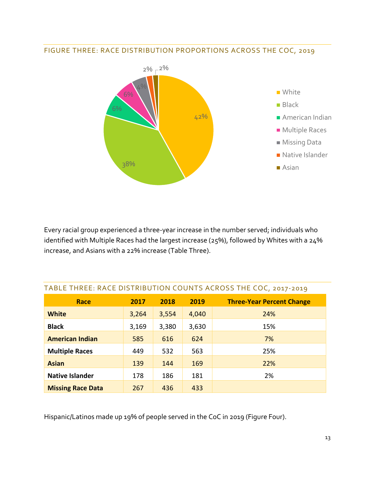<span id="page-13-0"></span>



Every racial group experienced a three-year increase in the number served; individuals who identified with Multiple Races had the largest increase (25%), followed by Whites with a 24% increase, and Asians with a 22% increase (Table Three).

| TADLE THINLE. INACE DISTINIBUTION COUNTS ACIOSS THE COC, 2017-2019 |       |       |       |                                  |  |
|--------------------------------------------------------------------|-------|-------|-------|----------------------------------|--|
| <b>Race</b>                                                        | 2017  | 2018  | 2019  | <b>Three-Year Percent Change</b> |  |
| <b>White</b>                                                       | 3,264 | 3,554 | 4,040 | 24%                              |  |
| <b>Black</b>                                                       | 3,169 | 3,380 | 3,630 | 15%                              |  |
| <b>American Indian</b>                                             | 585   | 616   | 624   | 7%                               |  |
| <b>Multiple Races</b>                                              | 449   | 532   | 563   | 25%                              |  |
| <b>Asian</b>                                                       | 139   | 144   | 169   | 22%                              |  |
| <b>Native Islander</b>                                             | 178   | 186   | 181   | 2%                               |  |
| <b>Missing Race Data</b>                                           | 267   | 436   | 433   |                                  |  |

## <span id="page-13-1"></span>TABLE THREE: RACE DISTRIBUTION COUNTS ACROSS THE COC, 2017-2019

Hispanic/Latinos made up 19% of people served in the CoC in 2019 (Figure Four).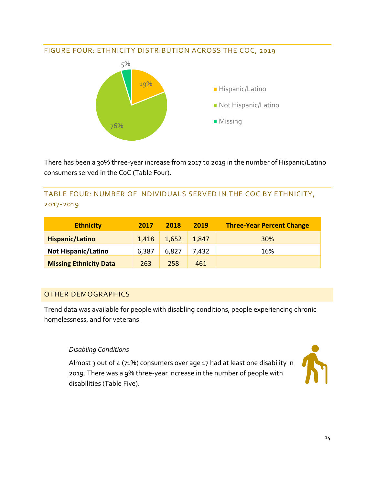## <span id="page-14-0"></span>FIGURE FOUR: ETHNICITY DISTRIBUTION ACROSS THE COC, 2019



There has been a 30% three-year increase from 2017 to 2019 in the number of Hispanic/Latino consumers served in the CoC (Table Four).

<span id="page-14-1"></span>TABLE FOUR: NUMBER OF INDIVIDUALS SERVED IN THE COC BY ETHNICITY, 2017-2019

| <b>Ethnicity</b>              | 2017  | 2018  | 2019  | <b>Three-Year Percent Change</b> |
|-------------------------------|-------|-------|-------|----------------------------------|
| <b>Hispanic/Latino</b>        | 1,418 | 1,652 | 1,847 | 30%                              |
| <b>Not Hispanic/Latino</b>    | 6,387 | 6,827 | 7,432 | 16%                              |
| <b>Missing Ethnicity Data</b> | 263   | 258   | 461   |                                  |

## <span id="page-14-2"></span>OTHER DEMOGRAPHICS

Trend data was available for people with disabling conditions, people experiencing chronic homelessness, and for veterans.

## *Disabling Conditions*

Almost 3 out of 4 (71%) consumers over age 17 had at least one disability in 2019. There was a 9% three-year increase in the number of people with disabilities (Table Five).

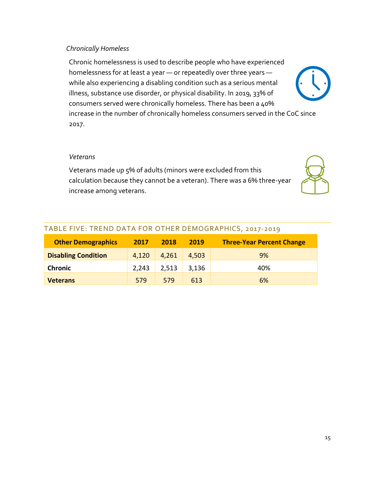#### *Chronically Homeless*

Chronic homelessness is used to describe people who have experienced homelessness for at least a year — or repeatedly over three years while also experiencing a disabling condition such as a serious mental illness, substance use disorder, or physical disability. In 2019, 33% of consumers served were chronically homeless. There has been a 40% increase in the number of chronically homeless consumers served in the CoC since 2017.

#### *Veterans*

Veterans made up 5% of adults (minors were excluded from this calculation because they cannot be a veteran). There was a 6% three-year increase among veterans.



| <b>Other Demographics</b>  | 2017  | 2018  | 2019  | <b>Three-Year Percent Change</b> |  |
|----------------------------|-------|-------|-------|----------------------------------|--|
| <b>Disabling Condition</b> | 4,120 | 4,261 | 4,503 | 9%                               |  |
| <b>Chronic</b>             | 2,243 | 2,513 | 3,136 | 40%                              |  |
| <b>Veterans</b>            | 579   | 579   | 613   | 6%                               |  |

#### <span id="page-15-0"></span>TABLE FIVE: TREND DATA FOR OTHER DEMOGRAPHICS, 2017-2019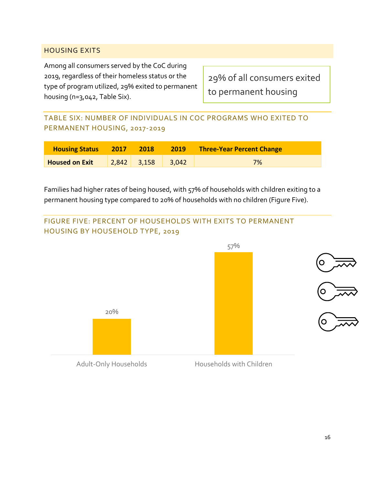## <span id="page-16-0"></span>HOUSING EXITS

Among all consumers served by the CoC during 2019, regardless of their homeless status or the type of program utilized, 29% exited to permanent housing (n=3,042, Table Six).

29% of all consumers exited to permanent housing

<span id="page-16-1"></span>TABLE SIX: NUMBER OF INDIVIDUALS IN COC PROGRAMS WHO EXITED TO PERMANENT HOUSING, 2017-2019

| <b>Housing Status</b> | 2017 | 2018          | 2019  | <b>Three-Year Percent Change</b> |
|-----------------------|------|---------------|-------|----------------------------------|
| <b>Housed on Exit</b> |      | $2,842$ 3,158 | 3,042 | 7%                               |

Families had higher rates of being housed, with 57% of households with children exiting to a permanent housing type compared to 20% of households with no children (Figure Five).

<span id="page-16-2"></span>

Adult-Only Households Households with Children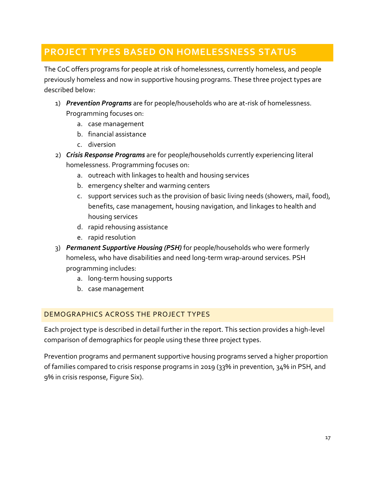## <span id="page-17-0"></span>**PROJECT TYPES BASED ON HOMELESSNESS STATUS**

The CoC offers programs for people at risk of homelessness, currently homeless, and people previously homeless and now in supportive housing programs. These three project types are described below:

- 1) *Prevention Programs* are for people/households who are at-risk of homelessness. Programming focuses on:
	- a. case management
	- b. financial assistance
	- c. diversion
- 2) *Crisis Response Programs* are for people/households currently experiencing literal homelessness. Programming focuses on:
	- a. outreach with linkages to health and housing services
	- b. emergency shelter and warming centers
	- c. support services such as the provision of basic living needs (showers, mail, food), benefits, case management, housing navigation, and linkages to health and housing services
	- d. rapid rehousing assistance
	- e. rapid resolution
- 3) *Permanent Supportive Housing (PSH)* for people/households who were formerly homeless, who have disabilities and need long-term wrap-around services. PSH programming includes:
	- a. long-term housing supports
	- b. case management

## <span id="page-17-1"></span>DEMOGRAPHICS ACROSS THE PROJECT TYPES

Each project type is described in detail further in the report. This section provides a high-level comparison of demographics for people using these three project types.

Prevention programs and permanent supportive housing programs served a higher proportion of families compared to crisis response programs in 2019 (33% in prevention, 34% in PSH, and 9% in crisis response, Figure Six).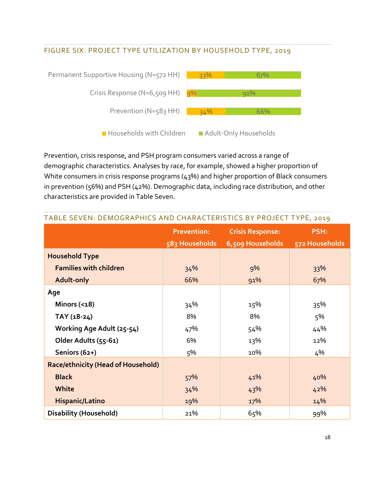## <span id="page-18-0"></span>FIGURE SIX: PROJECT TYPE UTILIZATION BY HOUSEHOLD TYPE, 2019



Prevention, crisis response, and PSH program consumers varied across a range of demographic characteristics. Analyses by race, for example, showed a higher proportion of White consumers in crisis response programs (43%) and higher proportion of Black consumers in prevention (56%) and PSH (42%). Demographic data, including race distribution, and other characteristics are provided in Table Seven.

| $\frac{1}{2}$                             |                    |                         |                |  |
|-------------------------------------------|--------------------|-------------------------|----------------|--|
|                                           | <b>Prevention:</b> | <b>Crisis Response:</b> | <b>PSH:</b>    |  |
|                                           | 583 Households     | 6,509 Households        | 572 Households |  |
| <b>Household Type</b>                     |                    |                         |                |  |
| <b>Families with children</b>             | 34%                | 9%                      | 33%            |  |
| Adult-only                                | 66%                | 91%                     | 67%            |  |
| Age                                       |                    |                         |                |  |
| Minors $( < 18)$                          | 34%                | 15%                     | 35%            |  |
| $TAY(18-24)$                              | 8%                 | 8%                      | 5%             |  |
| Working Age Adult (25-54)                 | 47%                | 54%                     | 44%            |  |
| Older Adults (55-61)                      | 6%                 | 13%                     | 12%            |  |
| Seniors (62+)                             | 5%                 | 10%                     | 4%             |  |
| <b>Race/ethnicity (Head of Household)</b> |                    |                         |                |  |
| <b>Black</b>                              | 57%                | 41%                     | 40%            |  |
| White                                     | 34%                | 43%                     | 42%            |  |
| <b>Hispanic/Latino</b>                    | 19%                | 17%                     | 14%            |  |
| <b>Disability (Household)</b>             | 21%                | 65%                     | 99%            |  |

## <span id="page-18-1"></span>TABLE SEVEN: DEMOGRAPHICS AND CHARACTERISTICS BY PROJECT TYPE, 2019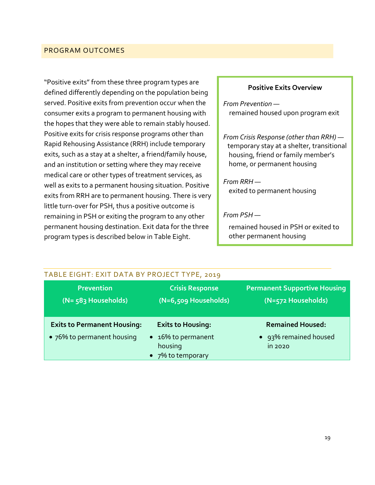## <span id="page-19-0"></span>PROGRAM OUTCOMES

"Positive exits" from these three program types are defined differently depending on the population being served. Positive exits from prevention occur when the consumer exits a program to permanent housing with the hopes that they were able to remain stably housed. Positive exits for crisis response programs other than Rapid Rehousing Assistance (RRH) include temporary exits, such as a stay at a shelter, a friend/family house, and an institution or setting where they may receive medical care or other types of treatment services, as well as exits to a permanent housing situation. Positive exits from RRH are to permanent housing. There is very little turn-over for PSH, thus a positive outcome is remaining in PSH or exiting the program to any other permanent housing destination. Exit data for the three program types is described below in Table Eight.

#### **Positive Exits Overview**

*From Prevention*  remained housed upon program exit

*From Crisis Response (other than RRH)*  temporary stay at a shelter, transitional housing, friend or family member's home, or permanent housing

*From RRH*  exited to permanent housing

#### *From PSH —*

remained housed in PSH or exited to other permanent housing

<span id="page-19-1"></span>

| TABLE EIGHT: EXIT DATA BY PROJECT TYPE, 2019 |                                                    |                                                           |
|----------------------------------------------|----------------------------------------------------|-----------------------------------------------------------|
| <b>Prevention</b><br>(N= 583 Households)     | <b>Crisis Response</b><br>$(N=6,509$ Households)   | <b>Permanent Supportive Housing</b><br>(N=572 Households) |
| <b>Exits to Permanent Housing:</b>           | <b>Exits to Housing:</b>                           | <b>Remained Housed:</b>                                   |
| • 76% to permanent housing                   | • 16% to permanent<br>housing<br>• 7% to temporary | 93% remained housed<br>in 2020                            |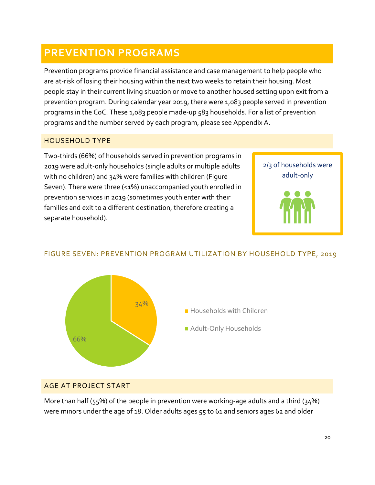## <span id="page-20-0"></span>**PREVENTION PROGRAMS**

Prevention programs provide financial assistance and case management to help people who are at-risk of losing their housing within the next two weeks to retain their housing. Most people stay in their current living situation or move to another housed setting upon exit from a prevention program. During calendar year 2019, there were 1,083 people served in prevention programs in the CoC. These 1,083 people made-up 583 households. For a list of prevention programs and the number served by each program, please see Appendix A.

## <span id="page-20-1"></span>HOUSEHOLD TYPE

Two-thirds (66%) of households served in prevention programs in 2019 were adult-only households (single adults or multiple adults with no children) and 34% were families with children (Figure Seven). There were three (<1%) unaccompanied youth enrolled in prevention services in 2019 (sometimes youth enter with their families and exit to a different destination, therefore creating a separate household).





## <span id="page-20-2"></span>FIGURE SEVEN: PREVENTION PROGRAM UTILIZATION BY HOUSEHOLD TYPE, 2019

- **Households with Children**
- **Adult-Only Households**

## <span id="page-20-3"></span>AGE AT PROJECT START

More than half ( $55\%$ ) of the people in prevention were working-age adults and a third ( $34\%$ ) were minors under the age of 18. Older adults ages 55 to 61 and seniors ages 62 and older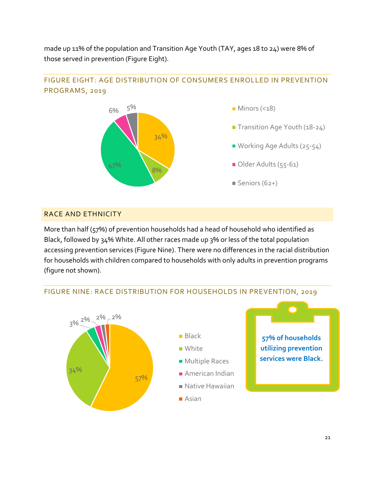made up 11% of the population and Transition Age Youth (TAY, ages 18 to 24) were 8% of those served in prevention (Figure Eight).



## <span id="page-21-0"></span>FIGURE EIGHT: AGE DISTRIBUTION OF CONSUMERS ENROLLED IN PREVENTION PROGRAMS, 2019

## <span id="page-21-1"></span>RACE AND ETHNICITY

More than half (57%) of prevention households had a head of household who identified as Black, followed by 34% White. All other races made up 3% or less of the total population accessing prevention services (Figure Nine). There were no differences in the racial distribution for households with children compared to households with only adults in prevention programs (figure not shown).



## <span id="page-21-2"></span>FIGURE NINE: RACE DISTRIBUTION FOR HOUSEHOLDS IN PREVENTION, 2019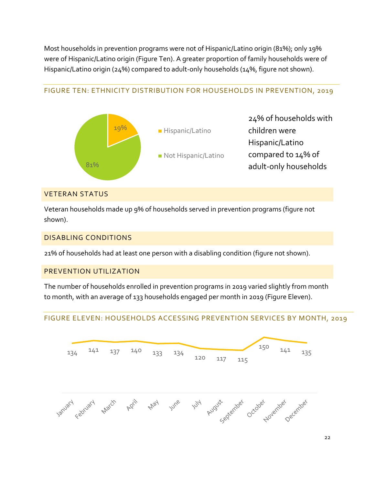Most households in prevention programs were not of Hispanic/Latino origin (81%); only 19% were of Hispanic/Latino origin (Figure Ten). A greater proportion of family households were of Hispanic/Latino origin (24%) compared to adult-only households (14%, figure not shown).

## <span id="page-22-0"></span>FIGURE TEN: ETHNICITY DISTRIBUTION FOR HOUSEHOLDS IN PREVENTION, 2019



#### <span id="page-22-1"></span>VETERAN STATUS

Veteran households made up 9% of households served in prevention programs (figure not shown).

## <span id="page-22-2"></span>DISABLING CONDITIONS

21% of households had at least one person with a disabling condition (figure not shown).

## <span id="page-22-3"></span>PREVENTION UTILIZATION

The number of households enrolled in prevention programs in 2019 varied slightly from month to month, with an average of 133 households engaged per month in 2019 (Figure Eleven).

## <span id="page-22-4"></span>FIGURE ELEVEN: HOUSEHOLDS ACCESSING PREVENTION SERVICES BY MONTH, 2019

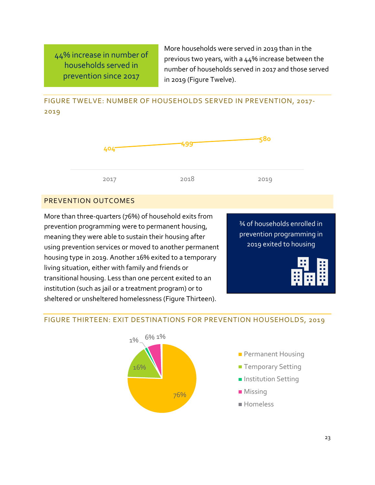44% increase in number of households served in prevention since 2017

More households were served in 2019 than in the previous two years, with a 44% increase between the number of households served in 2017 and those served in 2019 (Figure Twelve).

## <span id="page-23-0"></span>FIGURE TWELVE: NUMBER OF HOUSEHOLDS SERVED IN PREVENTION, 2017- 2019



## <span id="page-23-1"></span>PREVENTION OUTCOMES

More than three-quarters (76%) of household exits from prevention programming were to permanent housing, meaning they were able to sustain their housing after using prevention services or moved to another permanent housing type in 2019. Another 16% exited to a temporary living situation, either with family and friends or transitional housing. Less than one percent exited to an institution (such as jail or a treatment program) or to sheltered or unsheltered homelessness (Figure Thirteen).

¾ of households enrolled in prevention programming in 2019 exited to housing



## <span id="page-23-2"></span>FIGURE THIRTEEN: EXIT DESTINATIONS FOR PREVENTION HOUSEHOLDS, 2019

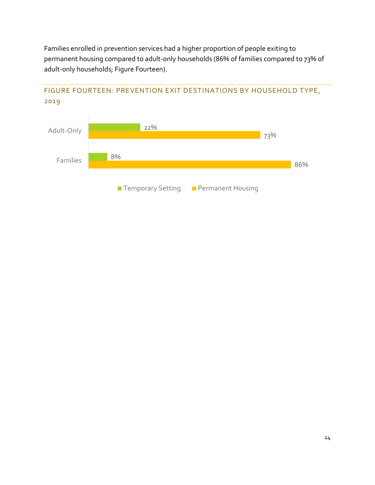Families enrolled in prevention services had a higher proportion of people exiting to permanent housing compared to adult-only households (86% of families compared to 73% of adult-only households; Figure Fourteen).



## <span id="page-24-0"></span>FIGURE FOURTEEN: PREVENTION EXIT DESTINATIONS BY HOUSEHOLD TYPE, 2019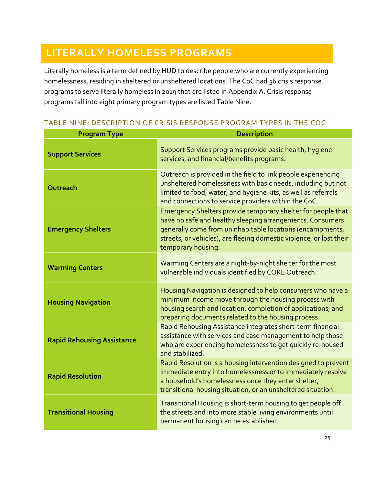## <span id="page-25-0"></span>**LITERALLY HOMELESS PROGRAMS**

Literally homeless is a term defined by HUD to describe people who are currently experiencing homelessness, residing in sheltered or unsheltered locations. The CoC had 56 crisis response programs to serve literally homeless in 2019 that are listed in Appendix A. Crisis response programs fall into eight primary program types are listed Table Nine.

## <span id="page-25-1"></span>TABLE NINE: DESCRIPTION OF CRISIS RESPONSE PROGRAM TYPES IN THE COC

| <b>Program Type</b>               | <b>Description</b>                                                                                                                                                                                                                                                                  |  |
|-----------------------------------|-------------------------------------------------------------------------------------------------------------------------------------------------------------------------------------------------------------------------------------------------------------------------------------|--|
| <b>Support Services</b>           | Support Services programs provide basic health, hygiene<br>services, and financial/benefits programs.                                                                                                                                                                               |  |
| Outreach                          | Outreach is provided in the field to link people experiencing<br>unsheltered homelessness with basic needs, including but not<br>limited to food, water, and hygiene kits, as well as referrals<br>and connections to service providers within the CoC.                             |  |
| <b>Emergency Shelters</b>         | Emergency Shelters provide temporary shelter for people that<br>have no safe and healthy sleeping arrangements. Consumers<br>generally come from uninhabitable locations (encampments,<br>streets, or vehicles), are fleeing domestic violence, or lost their<br>temporary housing. |  |
| <b>Warming Centers</b>            | Warming Centers are a night-by-night shelter for the most<br>vulnerable individuals identified by CORE Outreach.                                                                                                                                                                    |  |
| <b>Housing Navigation</b>         | Housing Navigation is designed to help consumers who have a<br>minimum income move through the housing process with<br>housing search and location, completion of applications, and<br>preparing documents related to the housing process.                                          |  |
| <b>Rapid Rehousing Assistance</b> | Rapid Rehousing Assistance integrates short-term financial<br>assistance with services and case management to help those<br>who are experiencing homelessness to get quickly re-housed<br>and stabilized.                                                                           |  |
| <b>Rapid Resolution</b>           | Rapid Resolution is a housing intervention designed to prevent<br>immediate entry into homelessness or to immediately resolve<br>a household's homelessness once they enter shelter,<br>transitional housing situation, or an unsheltered situation.                                |  |
| <b>Transitional Housing</b>       | Transitional Housing is short-term housing to get people off<br>the streets and into more stable living environments until<br>permanent housing can be established.                                                                                                                 |  |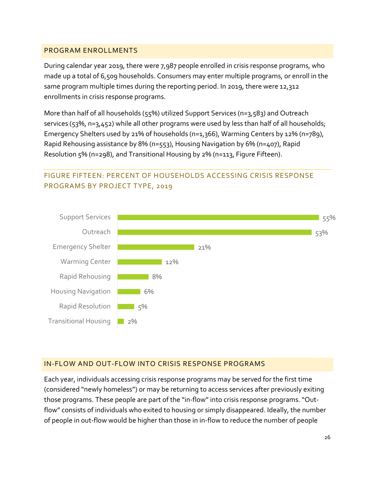## <span id="page-26-0"></span>PROGRAM ENROLLMENTS

During calendar year 2019, there were 7,987 people enrolled in crisis response programs, who made up a total of 6,509 households. Consumers may enter multiple programs, or enroll in the same program multiple times during the reporting period. In 2019, there were 12,312 enrollments in crisis response programs.

More than half of all households (55%) utilized Support Services (n=3,583) and Outreach services (53%, n=3,452) while all other programs were used by less than half of all households; Emergency Shelters used by 21% of households (n=1,366), Warming Centers by 12% (n=789), Rapid Rehousing assistance by 8% (n=553), Housing Navigation by 6% (n=407), Rapid Resolution 5% (n=298), and Transitional Housing by 2% (n=113, Figure Fifteen).

## <span id="page-26-1"></span>FIGURE FIFTEEN: PERCENT OF HOUSEHOLDS ACCESSING CRISIS RESPONSE PROGRAMS BY PROJECT TYPE, 2019



## <span id="page-26-2"></span>IN-FLOW AND OUT-FLOW INTO CRISIS RESPONSE PROGRAMS

Each year, individuals accessing crisis response programs may be served for the first time (considered "newly homeless") or may be returning to access services after previously exiting those programs. These people are part of the "in-flow" into crisis response programs. "Outflow" consists of individuals who exited to housing or simply disappeared. Ideally, the number of people in out-flow would be higher than those in in-flow to reduce the number of people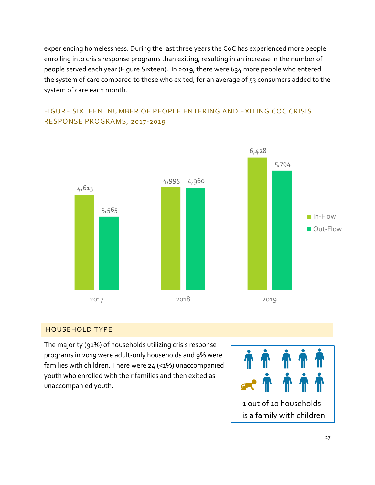experiencing homelessness. During the last three years the CoC has experienced more people enrolling into crisis response programs than exiting, resulting in an increase in the number of people served each year (Figure Sixteen). In 2019, there were 634 more people who entered the system of care compared to those who exited, for an average of 53 consumers added to the system of care each month.

<span id="page-27-0"></span>



## <span id="page-27-1"></span>HOUSEHOLD TYPE

The majority (91%) of households utilizing crisis response programs in 2019 were adult-only households and 9% were families with children. There were 24 (<1%) unaccompanied youth who enrolled with their families and then exited as unaccompanied youth.

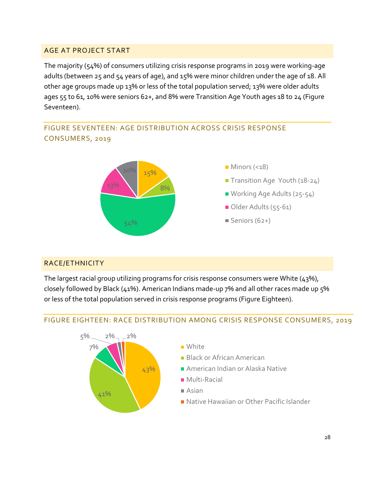## <span id="page-28-0"></span>AGE AT PROJECT START

The majority (54%) of consumers utilizing crisis response programs in 2019 were working-age adults (between 25 and 54 years of age), and 15% were minor children under the age of 18. All other age groups made up 13% or less of the total population served; 13% were older adults ages 55 to 61, 10% were seniors 62+, and 8% were Transition Age Youth ages 18 to 24 (Figure Seventeen).

## <span id="page-28-1"></span>FIGURE SEVENTEEN: AGE DISTRIBUTION ACROSS CRISIS RESPONSE CONSUMERS, 2019



## <span id="page-28-2"></span>RACE/ETHNICITY

The largest racial group utilizing programs for crisis response consumers were White (43%), closely followed by Black (41%). American Indians made-up 7% and all other races made up 5% or less of the total population served in crisis response programs (Figure Eighteen).

## <span id="page-28-3"></span>FIGURE EIGHTEEN: RACE DISTRIBUTION AMONG CRISIS RESPONSE CONSUMERS, 2019

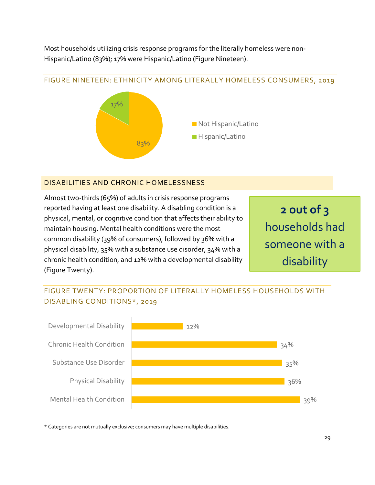Most households utilizing crisis response programs for the literally homeless were non-Hispanic/Latino (83%); 17% were Hispanic/Latino (Figure Nineteen).

## <span id="page-29-0"></span>FIGURE NINETEEN: ETHNICITY AMONG LITERALLY HOMELESS CONSUMERS, 2019



# **Hispanic/Latino**

Not Hispanic/Latino

## <span id="page-29-1"></span>DISABILITIES AND CHRONIC HOMELESSNESS

Almost two-thirds (65%) of adults in crisis response programs reported having at least one disability. A disabling condition is a physical, mental, or cognitive condition that affects their ability to maintain housing. Mental health conditions were the most common disability (39% of consumers), followed by 36% with a physical disability, 35% with a substance use disorder, 34% with a chronic health condition, and 12% with a developmental disability (Figure Twenty).

**2 out of 3** households had someone with a disability

## <span id="page-29-2"></span>FIGURE TWENTY: PROPORTION OF LITERALLY HOMELESS HOUSEHOLDS WITH DISABLING CONDITIONS\*, 2019



\* Categories are not mutually exclusive; consumers may have multiple disabilities.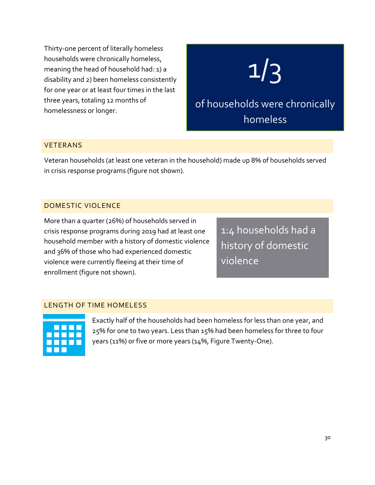Thirty-one percent of literally homeless households were chronically homeless, meaning the head of household had: 1) a disability and 2) been homeless consistently for one year or at least four times in the last three years, totaling 12 months of homelessness or longer.

# 1/3

of households were chronically homeless

## <span id="page-30-0"></span>VETERANS

Veteran households (at least one veteran in the household) made up 8% of households served in crisis response programs (figure not shown).

## <span id="page-30-1"></span>DOMESTIC VIOLENCE

More than a quarter (26%) of households served in crisis response programs during 2019 had at least one household member with a history of domestic violence and 36% of those who had experienced domestic violence were currently fleeing at their time of enrollment (figure not shown).

1:4 households had a history of domestic violence

## LENGTH OF TIME HOMELESS

<span id="page-30-2"></span>

Exactly half of the households had been homeless for less than one year, and 25% for one to two years. Less than 15% had been homeless for three to four years (11%) or five or more years (14%, Figure Twenty-One).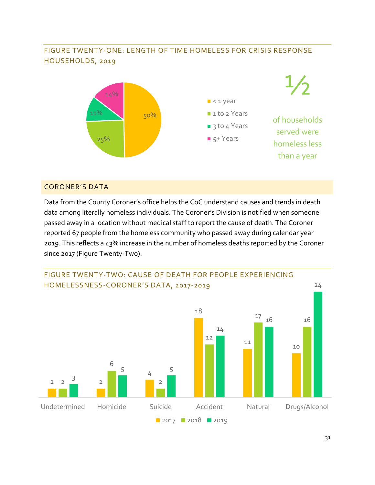## <span id="page-31-0"></span>FIGURE TWENTY-ONE: LENGTH OF TIME HOMELESS FOR CRISIS RESPONSE HOUSEHOLDS, 2019



## <span id="page-31-1"></span>CORONER'S DATA

Data from the County Coroner's office helps the CoC understand causes and trends in death data among literally homeless individuals. The Coroner's Division is notified when someone passed away in a location without medical staff to report the cause of death. The Coroner reported 67 people from the homeless community who passed away during calendar year 2019. This reflects a 43% increase in the number of homeless deaths reported by the Coroner since 2017 (Figure Twenty-Two).

<span id="page-31-2"></span>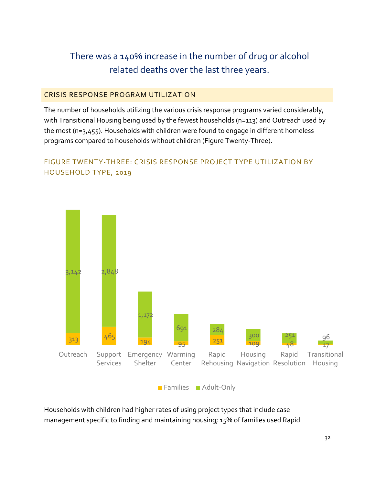## There was a 140% increase in the number of drug or alcohol related deaths over the last three years.

## <span id="page-32-0"></span>CRISIS RESPONSE PROGRAM UTILIZATION

The number of households utilizing the various crisis response programs varied considerably, with Transitional Housing being used by the fewest households (n=113) and Outreach used by the most (n=3,455). Households with children were found to engage in different homeless programs compared to households without children (Figure Twenty-Three).

## <span id="page-32-1"></span>FIGURE TWENTY-THREE: CRISIS RESPONSE PROJECT TYPE UTILIZATION BY HOUSEHOLD TYPE, 2019



**Families Adult-Only** 

Households with children had higher rates of using project types that include case management specific to finding and maintaining housing; 15% of families used Rapid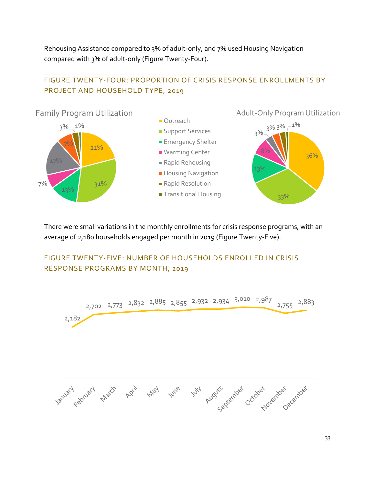Rehousing Assistance compared to 3% of adult-only, and 7% used Housing Navigation compared with 3% of adult-only (Figure Twenty-Four).

## <span id="page-33-0"></span>FIGURE TWENTY-FOUR: PROPORTION OF CRISIS RESPONSE ENROLLMENTS BY PROJECT AND HOUSEHOLD TYPE, 2019



There were small variations in the monthly enrollments for crisis response programs, with an average of 2,180 households engaged per month in 2019 (Figure Twenty-Five).

<span id="page-33-1"></span>

33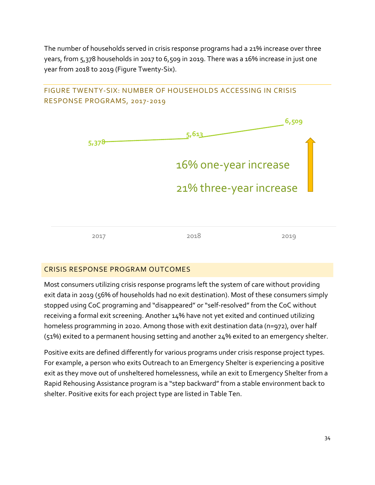The number of households served in crisis response programs had a 21% increase over three years, from 5,378 households in 2017 to 6,509 in 2019. There was a 16% increase in just one year from 2018 to 2019 (Figure Twenty-Six).

## <span id="page-34-0"></span>FIGURE TWENTY-SIX: NUMBER OF HOUSEHOLDS ACCESSING IN CRISIS RESPONSE PROGRAMS, 2017-2019 **6,509**



## <span id="page-34-1"></span>CRISIS RESPONSE PROGRAM OUTCOMES

Most consumers utilizing crisis response programs left the system of care without providing exit data in 2019 (56% of households had no exit destination). Most of these consumers simply stopped using CoC programing and "disappeared" or "self-resolved" from the CoC without receiving a formal exit screening. Another 14% have not yet exited and continued utilizing homeless programming in 2020. Among those with exit destination data (n=972), over half (51%) exited to a permanent housing setting and another 24% exited to an emergency shelter.

Positive exits are defined differently for various programs under crisis response project types. For example, a person who exits Outreach to an Emergency Shelter is experiencing a positive exit as they move out of unsheltered homelessness, while an exit to Emergency Shelter from a Rapid Rehousing Assistance program is a "step backward" from a stable environment back to shelter. Positive exits for each project type are listed in Table Ten.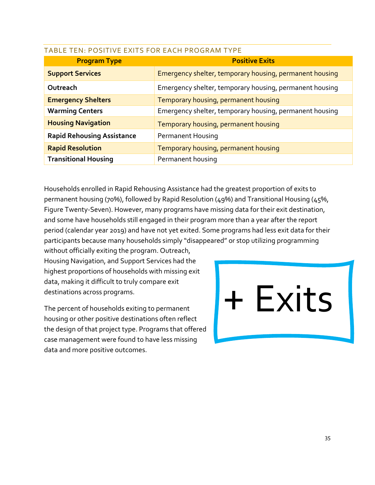| <b>Program Type</b>               | <b>Positive Exits</b>                                   |
|-----------------------------------|---------------------------------------------------------|
| <b>Support Services</b>           | Emergency shelter, temporary housing, permanent housing |
| Outreach                          | Emergency shelter, temporary housing, permanent housing |
| <b>Emergency Shelters</b>         | Temporary housing, permanent housing                    |
| <b>Warming Centers</b>            | Emergency shelter, temporary housing, permanent housing |
| <b>Housing Navigation</b>         | Temporary housing, permanent housing                    |
| <b>Rapid Rehousing Assistance</b> | <b>Permanent Housing</b>                                |
| <b>Rapid Resolution</b>           | Temporary housing, permanent housing                    |
| <b>Transitional Housing</b>       | Permanent housing                                       |

## <span id="page-35-0"></span>TABLE TEN: POSITIVE EXITS FOR EACH PROGRAM TYPE

Households enrolled in Rapid Rehousing Assistance had the greatest proportion of exits to permanent housing (70%), followed by Rapid Resolution (49%) and Transitional Housing (45%, Figure Twenty-Seven). However, many programs have missing data for their exit destination, and some have households still engaged in their program more than a year after the report period (calendar year 2019) and have not yet exited. Some programs had less exit data for their participants because many households simply "disappeared" or stop utilizing programming

without officially exiting the program. Outreach, Housing Navigation, and Support Services had the highest proportions of households with missing exit data, making it difficult to truly compare exit destinations across programs.

The percent of households exiting to permanent housing or other positive destinations often reflect the design of that project type. Programs that offered case management were found to have less missing data and more positive outcomes.

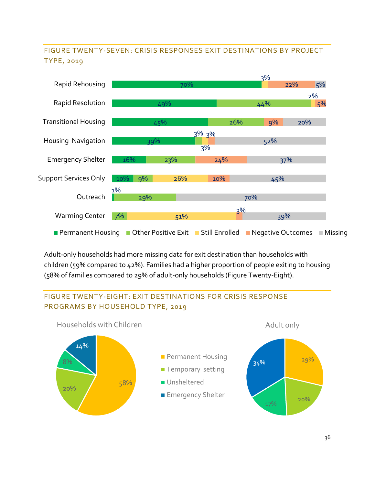## <span id="page-36-0"></span>FIGURE TWENTY-SEVEN: CRISIS RESPONSES EXIT DESTINATIONS BY PROJECT TYPE, 2019



Adult-only households had more missing data for exit destination than households with children (59% compared to 42%). Families had a higher proportion of people exiting to housing (58% of families compared to 29% of adult-only households (Figure Twenty-Eight).

## <span id="page-36-1"></span>FIGURE TWENTY-EIGHT: EXIT DESTINATIONS FOR CRISIS RESPONSE PROGRAMS BY HOUSEHOLD TYPE, 2019

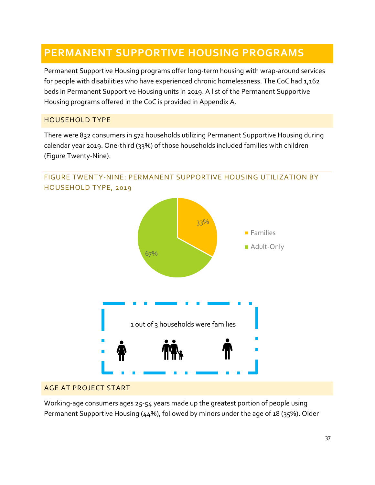## <span id="page-37-0"></span>**PERMANENT SUPPORTIVE HOUSING PROGRAMS**

Permanent Supportive Housing programs offer long-term housing with wrap-around services for people with disabilities who have experienced chronic homelessness. The CoC had 1,162 beds in Permanent Supportive Housing units in 2019. A list of the Permanent Supportive Housing programs offered in the CoC is provided in Appendix A.

## <span id="page-37-1"></span>HOUSEHOLD TYPE

There were 832 consumers in 572 households utilizing Permanent Supportive Housing during calendar year 2019. One-third (33%) of those households included families with children (Figure Twenty-Nine).



## <span id="page-37-2"></span>FIGURE TWENTY-NINE: PERMANENT SUPPORTIVE HOUSING UTILIZATION BY HOUSEHOLD TYPE, 2019

## <span id="page-37-3"></span>AGE AT PROJECT START

Working-age consumers ages 25-54 years made up the greatest portion of people using Permanent Supportive Housing (44%), followed by minors under the age of 18 (35%). Older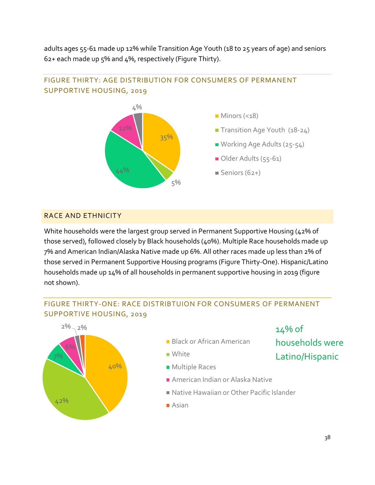adults ages 55-61 made up 12% while Transition Age Youth (18 to 25 years of age) and seniors 62+ each made up 5% and 4%, respectively (Figure Thirty).



## <span id="page-38-0"></span>FIGURE THIRTY: AGE DISTRIBUTION FOR CONSUMERS OF PERMANENT SUPPORTIVE HOUSING, 2019

## <span id="page-38-1"></span>RACE AND ETHNICITY

White households were the largest group served in Permanent Supportive Housing (42% of those served), followed closely by Black households (40%). Multiple Race households made up 7% and American Indian/Alaska Native made up 6%. All other races made up less than 2% of those served in Permanent Supportive Housing programs (Figure Thirty-One). Hispanic/Latino households made up 14% of all households in permanent supportive housing in 2019 (figure not shown).

## <span id="page-38-2"></span>FIGURE THIRTY-ONE: RACE DISTRIBTUION FOR CONSUMERS OF PERMANENT SUPPORTIVE HOUSING, 2019

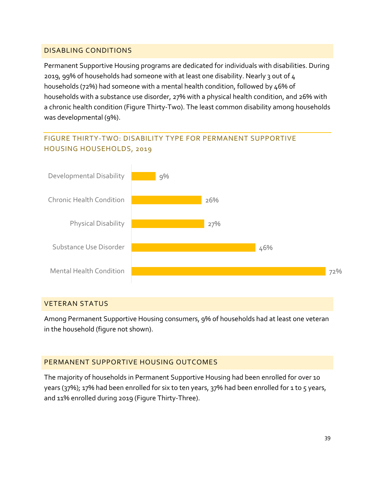## <span id="page-39-0"></span>DISABLING CONDITIONS

Permanent Supportive Housing programs are dedicated for individuals with disabilities. During 2019, 99% of households had someone with at least one disability. Nearly 3 out of 4 households (72%) had someone with a mental health condition, followed by 46% of households with a substance use disorder, 27% with a physical health condition, and 26% with a chronic health condition (Figure Thirty-Two). The least common disability among households was developmental (9%).

## <span id="page-39-1"></span>FIGURE THIRTY-TWO: DISABILITY TYPE FOR PERMANENT SUPPORTIVE HOUSING HOUSEHOLDS, 2019



#### <span id="page-39-2"></span>VETERAN STATUS

Among Permanent Supportive Housing consumers, 9% of households had at least one veteran in the household (figure not shown).

## <span id="page-39-3"></span>PERMANENT SUPPORTIVE HOUSING OUTCOMES

The majority of households in Permanent Supportive Housing had been enrolled for over 10 years (37%); 17% had been enrolled for six to ten years, 37% had been enrolled for 1 to 5 years, and 11% enrolled during 2019 (Figure Thirty-Three).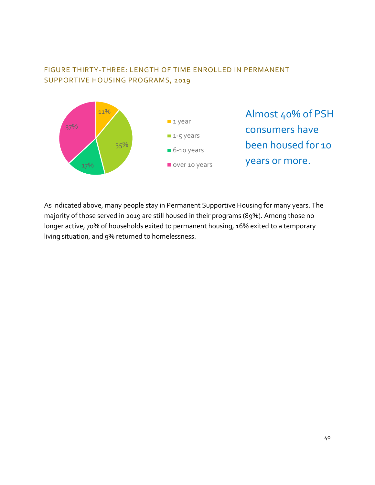## <span id="page-40-0"></span>FIGURE THIRTY-THREE: LENGTH OF TIME ENROLLED IN PERMANENT SUPPORTIVE HOUSING PROGRAMS, 2019



As indicated above, many people stay in Permanent Supportive Housing for many years. The majority of those served in 2019 are still housed in their programs (89%). Among those no longer active, 70% of households exited to permanent housing, 16% exited to a temporary living situation, and 9% returned to homelessness.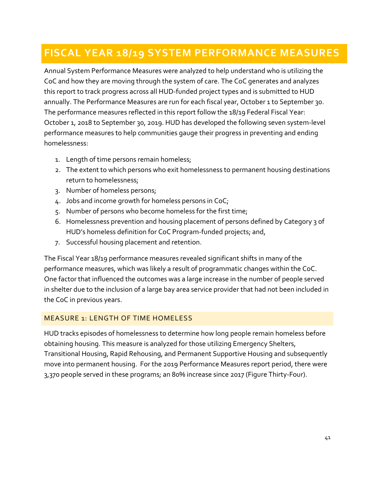## <span id="page-41-0"></span>**FISCAL YEAR 18/19 SYSTEM PERFORMANCE MEASURES**

Annual System Performance Measures were analyzed to help understand who is utilizing the CoC and how they are moving through the system of care. The CoC generates and analyzes this report to track progress across all HUD-funded project types and is submitted to HUD annually. The Performance Measures are run for each fiscal year, October 1 to September 30. The performance measures reflected in this report follow the 18/19 Federal Fiscal Year: October 1, 2018 to September 30, 2019. HUD has developed the following seven system-level performance measures to help communities gauge their progress in preventing and ending homelessness:

- 1. Length of time persons remain homeless;
- 2. The extent to which persons who exit homelessness to permanent housing destinations return to homelessness;
- 3. Number of homeless persons;
- 4. Jobs and income growth for homeless persons in CoC;
- 5. Number of persons who become homeless for the first time;
- 6. Homelessness prevention and housing placement of persons defined by Category 3 of HUD's homeless definition for CoC Program-funded projects; and,
- 7. Successful housing placement and retention.

The Fiscal Year 18/19 performance measures revealed significant shifts in many of the performance measures, which was likely a result of programmatic changes within the CoC. One factor that influenced the outcomes was a large increase in the number of people served in shelter due to the inclusion of a large bay area service provider that had not been included in the CoC in previous years.

## <span id="page-41-1"></span>MEASURE 1: LENGTH OF TIME HOMELESS

HUD tracks episodes of homelessness to determine how long people remain homeless before obtaining housing. This measure is analyzed for those utilizing Emergency Shelters, Transitional Housing, Rapid Rehousing, and Permanent Supportive Housing and subsequently move into permanent housing. For the 2019 Performance Measures report period, there were 3,370 people served in these programs; an 80% increase since 2017 (Figure Thirty-Four).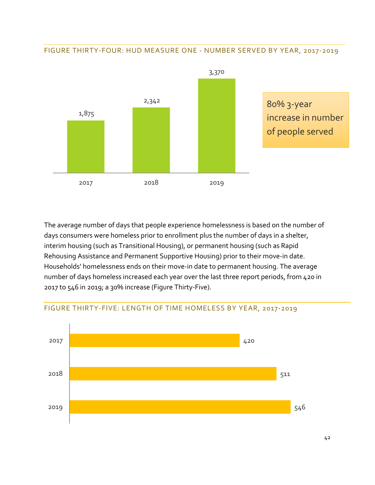#### <span id="page-42-0"></span>FIGURE THIRTY-FOUR: HUD MEASURE ONE - NUMBER SERVED BY YEAR, 2017-2019



80% 3-year increase in number of people served

The average number of days that people experience homelessness is based on the number of days consumers were homeless prior to enrollment plus the number of days in a shelter, interim housing (such as Transitional Housing), or permanent housing (such as Rapid Rehousing Assistance and Permanent Supportive Housing) prior to their move-in date. Households' homelessness ends on their move-in date to permanent housing. The average number of days homeless increased each year over the last three report periods, from 420 in 2017 to 546 in 2019; a 30% increase (Figure Thirty-Five).



#### <span id="page-42-1"></span>FIGURE THIRTY-FIVE: LENGTH OF TIME HOMELESS BY YEAR, 2017-2019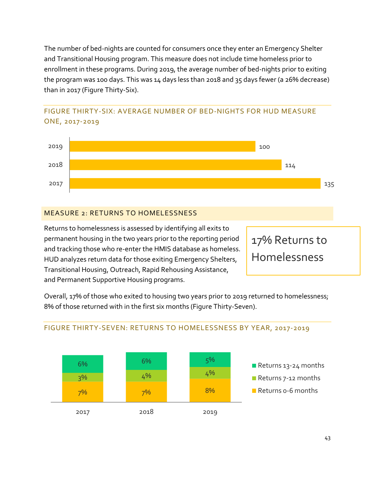The number of bed-nights are counted for consumers once they enter an Emergency Shelter and Transitional Housing program. This measure does not include time homeless prior to enrollment in these programs. During 2019, the average number of bed-nights prior to exiting the program was 100 days. This was 14 days less than 2018 and 35 days fewer (a 26% decrease) than in 2017 (Figure Thirty-Six).

## <span id="page-43-0"></span>FIGURE THIRTY-SIX: AVERAGE NUMBER OF BED-NIGHTS FOR HUD MEASURE ONE, 2017-2019



## <span id="page-43-1"></span>MEASURE 2: RETURNS TO HOMELESSNESS

Returns to homelessness is assessed by identifying all exits to permanent housing in the two years prior to the reporting period and tracking those who re-enter the HMIS database as homeless. HUD analyzes return data for those exiting Emergency Shelters, Transitional Housing, Outreach, Rapid Rehousing Assistance, and Permanent Supportive Housing programs.

17% Returns to Homelessness

Overall, 17% of those who exited to housing two years prior to 2019 returned to homelessness; 8% of those returned with in the first six months (Figure Thirty-Seven).



## <span id="page-43-2"></span>FIGURE THIRTY-SEVEN: RETURNS TO HOMELESSNESS BY YEAR, 2017-2019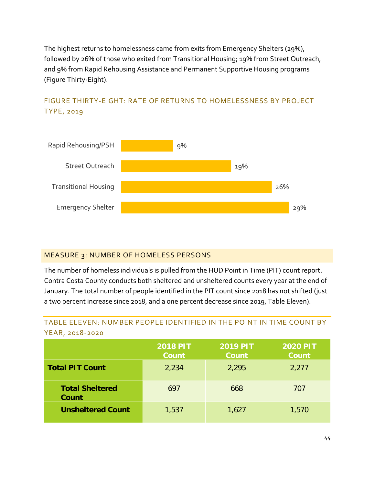The highest returns to homelessness came from exits from Emergency Shelters (29%), followed by 26% of those who exited from Transitional Housing; 19% from Street Outreach, and 9% from Rapid Rehousing Assistance and Permanent Supportive Housing programs (Figure Thirty-Eight).

## <span id="page-44-0"></span>FIGURE THIRTY-EIGHT: RATE OF RETURNS TO HOMELESSNESS BY PROJECT TYPE, 2019



## <span id="page-44-1"></span>MEASURE 3: NUMBER OF HOMELESS PERSONS

The number of homeless individuals is pulled from the HUD Point in Time (PIT) count report. Contra Costa County conducts both sheltered and unsheltered counts every year at the end of January. The total number of people identified in the PIT count since 2018 has not shifted (just a two percent increase since 2018, and a one percent decrease since 2019, Table Eleven).

## <span id="page-44-2"></span>TABLE ELEVEN: NUMBER PEOPLE IDENTIFIED IN THE POINT IN TIME COUNT BY YEAR, 2018-2020

|                                 | <b>2018 PIT</b><br><b>Count</b> | <b>2019 PIT</b><br><b>Count</b> | <b>2020 PIT</b><br><b>Count</b> |
|---------------------------------|---------------------------------|---------------------------------|---------------------------------|
| <b>Total PIT Count</b>          | 2,234                           | 2,295                           | 2,277                           |
| <b>Total Sheltered</b><br>Count | 697                             | 668                             | 707                             |
| <b>Unsheltered Count</b>        | 1,537                           | 1,627                           | 1,570                           |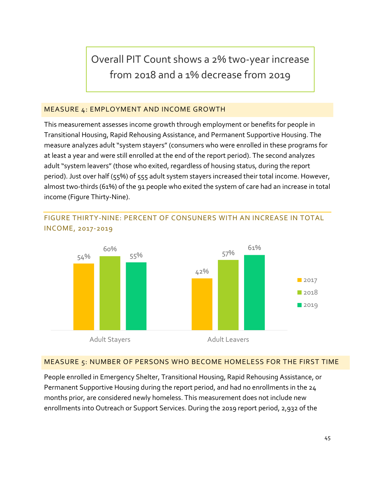Overall PIT Count shows a 2% two-year increase from 2018 and a 1% decrease from 2019

## <span id="page-45-0"></span>MEASURE 4: EMPLOYMENT AND INCOME GROWTH

This measurement assesses income growth through employment or benefits for people in Transitional Housing, Rapid Rehousing Assistance, and Permanent Supportive Housing. The measure analyzes adult"system stayers" (consumers who were enrolled in these programs for at least a year and were still enrolled at the end of the report period). The second analyzes adult "system leavers" (those who exited, regardless of housing status, during the report period). Just over half (55%) of 555 adult system stayers increased their total income. However, almost two-thirds (61%) of the 91 people who exited the system of care had an increase in total income (Figure Thirty-Nine).



<span id="page-45-1"></span>FIGURE THIRTY-NINE: PERCENT OF CONSUNERS WITH AN INCREASE IN TOTAL INCOME, 2017-2019

#### <span id="page-45-2"></span>MEASURE 5: NUMBER OF PERSONS WHO BECOME HOMELESS FOR THE FIRST TIME

People enrolled in Emergency Shelter, Transitional Housing, Rapid Rehousing Assistance, or Permanent Supportive Housing during the report period, and had no enrollments in the 24 months prior, are considered newly homeless. This measurement does not include new enrollments into Outreach or Support Services. During the 2019 report period, 2,932 of the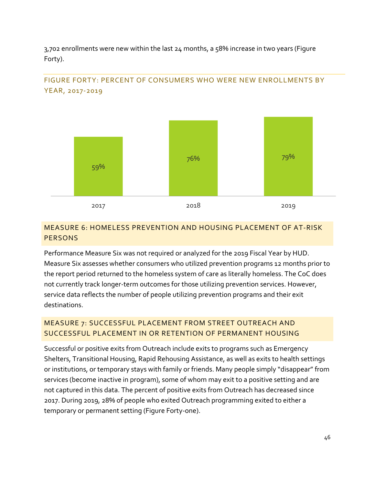3,702 enrollments were new within the last 24 months, a 58% increase in two years (Figure Forty).



## <span id="page-46-0"></span>FIGURE FORTY: PERCENT OF CONSUMERS WHO WERE NEW ENROLLMENTS BY YEAR, 2017-2019

## <span id="page-46-1"></span>MEASURE 6: HOMELESS PREVENTION AND HOUSING PLACEMENT OF AT-RISK **PERSONS**

Performance Measure Six was not required or analyzed for the 2019 Fiscal Year by HUD. Measure Six assesses whether consumers who utilized prevention programs 12 months prior to the report period returned to the homeless system of care as literally homeless. The CoC does not currently track longer-term outcomes for those utilizing prevention services. However, service data reflects the number of people utilizing prevention programs and their exit destinations.

## <span id="page-46-2"></span>MEASURE 7: SUCCESSFUL PLACEMENT FROM STREET OUTREACH AND SUCCESSFUL PLACEMENT IN OR RETENTION OF PERMANENT HOUSING

Successful or positive exits from Outreach include exits to programs such as Emergency Shelters, Transitional Housing, Rapid Rehousing Assistance, as well as exits to health settings or institutions, or temporary stays with family or friends. Many people simply "disappear" from services (become inactive in program), some of whom may exit to a positive setting and are not captured in this data. The percent of positive exits from Outreach has decreased since 2017. During 2019, 28% of people who exited Outreach programming exited to either a temporary or permanent setting (Figure Forty-one).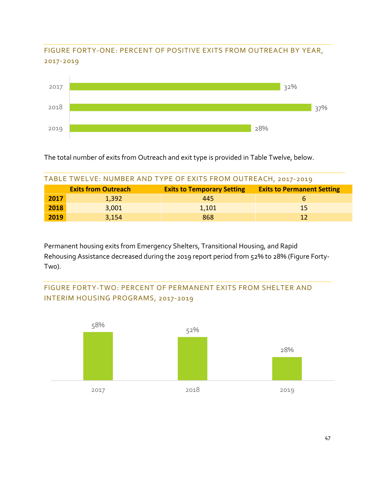## <span id="page-47-0"></span>FIGURE FORTY-ONE: PERCENT OF POSITIVE EXITS FROM OUTREACH BY YEAR, 2017-2019



The total number of exits from Outreach and exit type is provided in Table Twelve, below.

<span id="page-47-1"></span>

| TABLE TWELVE: NUMBER AND TYPE OF EXITS FROM OUTREACH, 2017-2019 |                            |                                   |                                   |
|-----------------------------------------------------------------|----------------------------|-----------------------------------|-----------------------------------|
|                                                                 | <b>Exits from Outreach</b> | <b>Exits to Temporary Setting</b> | <b>Exits to Permanent Setting</b> |
| 2017                                                            | 1,392                      | 445                               | b                                 |
| 2018                                                            | 3,001                      | 1,101                             | 15                                |
| 2019                                                            | 3,154                      | 868                               | 12                                |

Permanent housing exits from Emergency Shelters, Transitional Housing, and Rapid Rehousing Assistance decreased during the 2019 report period from 52% to 28% (Figure Forty-Tw0).

<span id="page-47-2"></span>

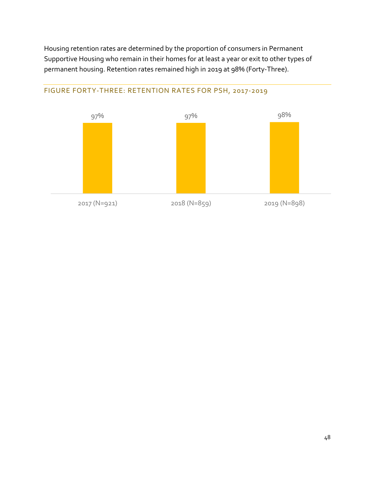Housing retention rates are determined by the proportion of consumers in Permanent Supportive Housing who remain in their homes for at least a year or exit to other types of permanent housing. Retention rates remained high in 2019 at 98% (Forty-Three).



## <span id="page-48-0"></span>FIGURE FORTY-THREE: RETENTION RATES FOR PSH, 2017-2019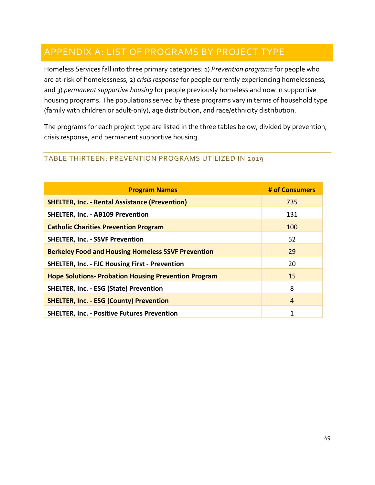## <span id="page-49-0"></span>APPENDIX A: LIST OF PROGRAMS BY PROJECT TYPE

Homeless Services fall into three primary categories: 1) *Prevention programs* for people who are at-risk of homelessness, 2) *crisis response* for people currently experiencing homelessness, and 3) *permanent supportive housing* for people previously homeless and now in supportive housing programs. The populations served by these programs vary in terms of household type (family with children or adult-only), age distribution, and race/ethnicity distribution.

The programs for each project type are listed in the three tables below, divided by prevention, crisis response, and permanent supportive housing.

## <span id="page-49-1"></span>TABLE THIRTEEN: PREVENTION PROGRAMS UTILIZED IN 2019

| <b>Program Names</b>                                        | # of Consumers |
|-------------------------------------------------------------|----------------|
| <b>SHELTER, Inc. - Rental Assistance (Prevention)</b>       | 735            |
| <b>SHELTER, Inc. - AB109 Prevention</b>                     | 131            |
| <b>Catholic Charities Prevention Program</b>                | 100            |
| <b>SHELTER, Inc. - SSVF Prevention</b>                      | 52             |
| <b>Berkeley Food and Housing Homeless SSVF Prevention</b>   | 29             |
| <b>SHELTER, Inc. - FJC Housing First - Prevention</b>       | 20             |
| <b>Hope Solutions- Probation Housing Prevention Program</b> | 15             |
| <b>SHELTER, Inc. - ESG (State) Prevention</b>               | 8              |
| <b>SHELTER, Inc. - ESG (County) Prevention</b>              | $\overline{4}$ |
| <b>SHELTER, Inc. - Positive Futures Prevention</b>          | 1              |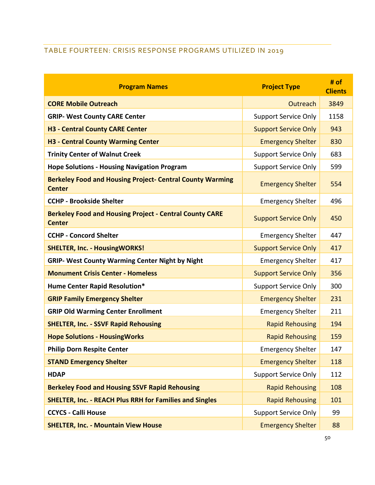## <span id="page-50-0"></span>TABLE FOURTEEN: CRISIS RESPONSE PROGRAMS UTILIZED IN 2019

| <b>Program Names</b>                                                              | <b>Project Type</b>         | # of<br><b>Clients</b> |
|-----------------------------------------------------------------------------------|-----------------------------|------------------------|
| <b>CORE Mobile Outreach</b>                                                       | Outreach                    | 3849                   |
| <b>GRIP- West County CARE Center</b>                                              | <b>Support Service Only</b> | 1158                   |
| <b>H3 - Central County CARE Center</b>                                            | <b>Support Service Only</b> | 943                    |
| <b>H3 - Central County Warming Center</b>                                         | <b>Emergency Shelter</b>    | 830                    |
| <b>Trinity Center of Walnut Creek</b>                                             | <b>Support Service Only</b> | 683                    |
| <b>Hope Solutions - Housing Navigation Program</b>                                | <b>Support Service Only</b> | 599                    |
| <b>Berkeley Food and Housing Project- Central County Warming</b><br><b>Center</b> | <b>Emergency Shelter</b>    | 554                    |
| <b>CCHP - Brookside Shelter</b>                                                   | <b>Emergency Shelter</b>    | 496                    |
| <b>Berkeley Food and Housing Project - Central County CARE</b><br><b>Center</b>   | <b>Support Service Only</b> | 450                    |
| <b>CCHP - Concord Shelter</b>                                                     | <b>Emergency Shelter</b>    | 447                    |
| <b>SHELTER, Inc. - HousingWORKS!</b>                                              | <b>Support Service Only</b> | 417                    |
| <b>GRIP- West County Warming Center Night by Night</b>                            | <b>Emergency Shelter</b>    | 417                    |
| <b>Monument Crisis Center - Homeless</b>                                          | <b>Support Service Only</b> | 356                    |
| <b>Hume Center Rapid Resolution*</b>                                              | <b>Support Service Only</b> | 300                    |
| <b>GRIP Family Emergency Shelter</b>                                              | <b>Emergency Shelter</b>    | 231                    |
| <b>GRIP Old Warming Center Enrollment</b>                                         | <b>Emergency Shelter</b>    | 211                    |
| <b>SHELTER, Inc. - SSVF Rapid Rehousing</b>                                       | <b>Rapid Rehousing</b>      | 194                    |
| <b>Hope Solutions - HousingWorks</b>                                              | <b>Rapid Rehousing</b>      | 159                    |
| <b>Philip Dorn Respite Center</b>                                                 | <b>Emergency Shelter</b>    | 147                    |
| <b>STAND Emergency Shelter</b>                                                    | <b>Emergency Shelter</b>    | 118                    |
| <b>HDAP</b>                                                                       | <b>Support Service Only</b> | 112                    |
| <b>Berkeley Food and Housing SSVF Rapid Rehousing</b>                             | <b>Rapid Rehousing</b>      | 108                    |
| <b>SHELTER, Inc. - REACH Plus RRH for Families and Singles</b>                    | <b>Rapid Rehousing</b>      | 101                    |
| <b>CCYCS - Calli House</b>                                                        | <b>Support Service Only</b> | 99                     |
| <b>SHELTER, Inc. - Mountain View House</b>                                        | <b>Emergency Shelter</b>    | 88                     |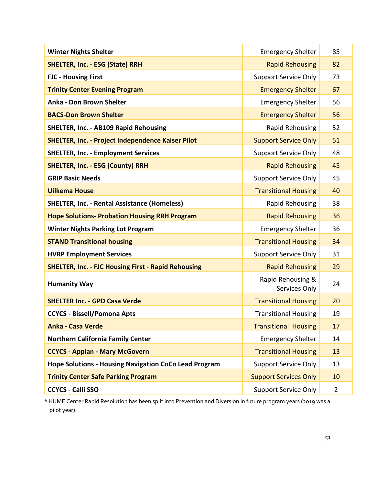| <b>Winter Nights Shelter</b>                                 | <b>Emergency Shelter</b>           | 85             |
|--------------------------------------------------------------|------------------------------------|----------------|
| <b>SHELTER, Inc. - ESG (State) RRH</b>                       | <b>Rapid Rehousing</b>             | 82             |
| <b>FJC - Housing First</b>                                   | <b>Support Service Only</b>        | 73             |
| <b>Trinity Center Evening Program</b>                        | <b>Emergency Shelter</b>           | 67             |
| Anka - Don Brown Shelter                                     | <b>Emergency Shelter</b>           | 56             |
| <b>BACS-Don Brown Shelter</b>                                | <b>Emergency Shelter</b>           | 56             |
| <b>SHELTER, Inc. - AB109 Rapid Rehousing</b>                 | Rapid Rehousing                    | 52             |
| <b>SHELTER, Inc. - Project Independence Kaiser Pilot</b>     | <b>Support Service Only</b>        | 51             |
| <b>SHELTER, Inc. - Employment Services</b>                   | <b>Support Service Only</b>        | 48             |
| <b>SHELTER, Inc. - ESG (County) RRH</b>                      | <b>Rapid Rehousing</b>             | 45             |
| <b>GRIP Basic Needs</b>                                      | <b>Support Service Only</b>        | 45             |
| <b>Uilkema House</b>                                         | <b>Transitional Housing</b>        | 40             |
| <b>SHELTER, Inc. - Rental Assistance (Homeless)</b>          | Rapid Rehousing                    | 38             |
| <b>Hope Solutions- Probation Housing RRH Program</b>         | <b>Rapid Rehousing</b>             | 36             |
| <b>Winter Nights Parking Lot Program</b>                     | <b>Emergency Shelter</b>           | 36             |
| <b>STAND Transitional housing</b>                            | <b>Transitional Housing</b>        | 34             |
| <b>HVRP Employment Services</b>                              | <b>Support Service Only</b>        | 31             |
| <b>SHELTER, Inc. - FJC Housing First - Rapid Rehousing</b>   | <b>Rapid Rehousing</b>             | 29             |
| <b>Humanity Way</b>                                          | Rapid Rehousing &<br>Services Only | 24             |
| <b>SHELTER Inc. - GPD Casa Verde</b>                         | <b>Transitional Housing</b>        | 20             |
| <b>CCYCS - Bissell/Pomona Apts</b>                           | <b>Transitional Housing</b>        | 19             |
| <b>Anka - Casa Verde</b>                                     | <b>Transitional Housing</b>        | 17             |
| <b>Northern California Family Center</b>                     | <b>Emergency Shelter</b>           | 14             |
| <b>CCYCS - Appian - Mary McGovern</b>                        | <b>Transitional Housing</b>        | 13             |
| <b>Hope Solutions - Housing Navigation CoCo Lead Program</b> | <b>Support Service Only</b>        | 13             |
| <b>Trinity Center Safe Parking Program</b>                   | <b>Support Services Only</b>       | 10             |
| <b>CCYCS - Calli SSO</b>                                     | <b>Support Service Only</b>        | $\overline{2}$ |

\* HUME Center Rapid Resolution has been split into Prevention and Diversion in future program years (2019 was a pilot year).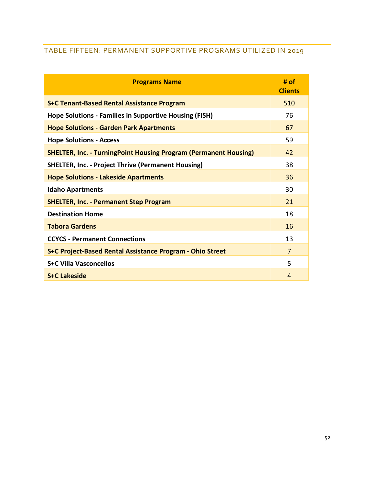## <span id="page-52-0"></span>TABLE FIFTEEN: PERMANENT SUPPORTIVE PROGRAMS UTILIZED IN 2019

| <b>Programs Name</b>                                                    | # of<br><b>Clients</b> |
|-------------------------------------------------------------------------|------------------------|
| <b>S+C Tenant-Based Rental Assistance Program</b>                       | 510                    |
| <b>Hope Solutions - Families in Supportive Housing (FISH)</b>           | 76                     |
| <b>Hope Solutions - Garden Park Apartments</b>                          | 67                     |
| <b>Hope Solutions - Access</b>                                          | 59                     |
| <b>SHELTER, Inc. - TurningPoint Housing Program (Permanent Housing)</b> | 42                     |
| <b>SHELTER, Inc. - Project Thrive (Permanent Housing)</b>               | 38                     |
| <b>Hope Solutions - Lakeside Apartments</b>                             | 36                     |
| <b>Idaho Apartments</b>                                                 | 30                     |
| <b>SHELTER, Inc. - Permanent Step Program</b>                           | 21                     |
| <b>Destination Home</b>                                                 | 18                     |
| <b>Tabora Gardens</b>                                                   | 16                     |
| <b>CCYCS - Permanent Connections</b>                                    | 13                     |
| S+C Project-Based Rental Assistance Program - Ohio Street               | 7                      |
| <b>S+C Villa Vasconcellos</b>                                           | 5                      |
| <b>S+C Lakeside</b>                                                     | 4                      |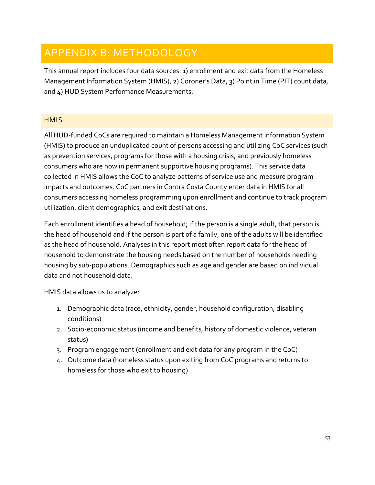## <span id="page-53-0"></span>APPENDIX B: METHODOLOGY

This annual report includes four data sources: 1) enrollment and exit data from the Homeless Management Information System (HMIS), 2) Coroner's Data, 3) Point in Time (PIT) count data, and 4) HUD System Performance Measurements.

## <span id="page-53-1"></span>**HMIS**

All HUD-funded CoCs are required to maintain a Homeless Management Information System (HMIS) to produce an unduplicated count of persons accessing and utilizing CoC services (such as prevention services, programs for those with a housing crisis, and previously homeless consumers who are now in permanent supportive housing programs). This service data collected in HMIS allows the CoC to analyze patterns of service use and measure program impacts and outcomes. CoC partners in Contra Costa County enter data in HMIS for all consumers accessing homeless programming upon enrollment and continue to track program utilization, client demographics, and exit destinations.

Each enrollment identifies a head of household; if the person is a single adult, that person is the head of household and if the person is part of a family, one of the adults will be identified as the head of household. Analyses in this report most often report data for the head of household to demonstrate the housing needs based on the number of households needing housing by sub-populations. Demographics such as age and gender are based on individual data and not household data.

HMIS data allows us to analyze:

- 1. Demographic data (race, ethnicity, gender, household configuration, disabling conditions)
- 2. Socio-economic status (income and benefits, history of domestic violence, veteran status)
- 3. Program engagement (enrollment and exit data for any program in the CoC)
- 4. Outcome data (homeless status upon exiting from CoC programs and returns to homeless for those who exit to housing)